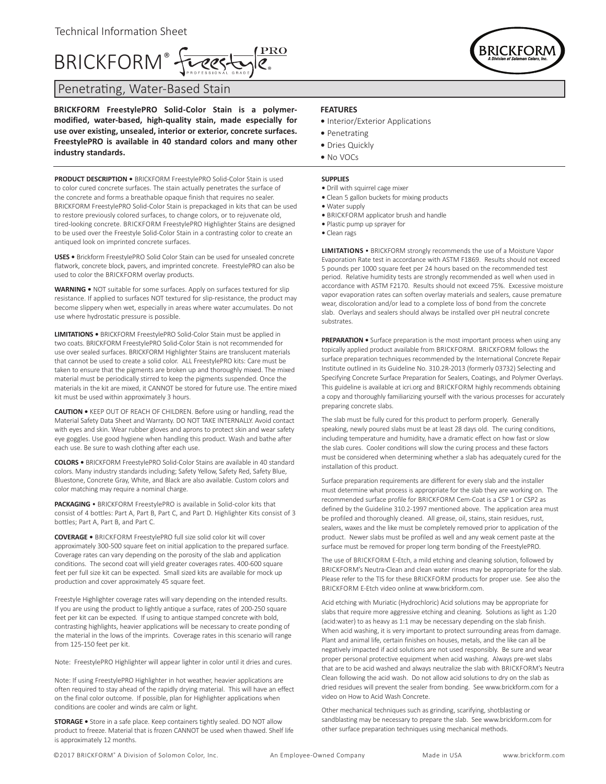# BRICKFORM® fueggland

Penetrating, Water-Based Stain

**BRICKFORM FreestylePRO Solid-Color Stain is a polymermodified, water-based, high-quality stain, made especially for use over existing, unsealed, interior or exterior, concrete surfaces. FreestylePRO is available in 40 standard colors and many other industry standards.**

**PRODUCT DESCRIPTION •** BRICKFORM FreestylePRO Solid-Color Stain is used to color cured concrete surfaces. The stain actually penetrates the surface of the concrete and forms a breathable opaque finish that requires no sealer. BRICKFORM FreestylePRO Solid-Color Stain is prepackaged in kits that can be used to restore previously colored surfaces, to change colors, or to rejuvenate old, tired-looking concrete. BRICKFORM FreestylePRO Highlighter Stains are designed to be used over the Freestyle Solid-Color Stain in a contrasting color to create an antiqued look on imprinted concrete surfaces.

**USES •** Brickform FreestylePRO Solid Color Stain can be used for unsealed concrete flatwork, concrete block, pavers, and imprinted concrete. FreestylePRO can also be used to color the BRICKFORM overlay products.

**WARNING •** NOT suitable for some surfaces. Apply on surfaces textured for slip resistance. If applied to surfaces NOT textured for slip-resistance, the product may become slippery when wet, especially in areas where water accumulates. Do not use where hydrostatic pressure is possible.

**LIMITATIONS •** BRICKFORM FreestylePRO Solid-Color Stain must be applied in two coats. BRICKFORM FreestylePRO Solid-Color Stain is not recommended for use over sealed surfaces. BRICKFORM Highlighter Stains are translucent materials that cannot be used to create a solid color. ALL FreestylePRO kits: Care must be taken to ensure that the pigments are broken up and thoroughly mixed. The mixed material must be periodically stirred to keep the pigments suspended. Once the materials in the kit are mixed, it CANNOT be stored for future use. The entire mixed kit must be used within approximately 3 hours.

**CAUTION •** KEEP OUT OF REACH OF CHILDREN. Before using or handling, read the Material Safety Data Sheet and Warranty. DO NOT TAKE INTERNALLY. Avoid contact with eyes and skin. Wear rubber gloves and aprons to protect skin and wear safety eye goggles. Use good hygiene when handling this product. Wash and bathe after each use. Be sure to wash clothing after each use.

**COLORS •** BRICKFORM FreestylePRO Solid-Color Stains are available in 40 standard colors. Many industry standards including; Safety Yellow, Safety Red, Safety Blue, Bluestone, Concrete Gray, White, and Black are also available. Custom colors and color matching may require a nominal charge.

**PACKAGING** • BRICKFORM FreestylePRO is available in Solid-color kits that consist of 4 bottles: Part A, Part B, Part C, and Part D. Highlighter Kits consist of 3 bottles; Part A, Part B, and Part C.

**COVERAGE •** BRICKFORM FreestylePRO full size solid color kit will cover approximately 300-500 square feet on initial application to the prepared surface. Coverage rates can vary depending on the porosity of the slab and application conditions. The second coat will yield greater coverages rates. 400-600 square feet per full size kit can be expected. Small sized kits are available for mock up production and cover approximately 45 square feet.

Freestyle Highlighter coverage rates will vary depending on the intended results. If you are using the product to lightly antique a surface, rates of 200-250 square feet per kit can be expected. If using to antique stamped concrete with bold, contrasting highlights, heavier applications will be necessary to create ponding of the material in the lows of the imprints. Coverage rates in this scenario will range from 125-150 feet per kit.

Note: FreestylePRO Highlighter will appear lighter in color until it dries and cures.

Note: If using FreestylePRO Highlighter in hot weather, heavier applications are often required to stay ahead of the rapidly drying material. This will have an effect on the final color outcome. If possible, plan for Highlighter applications when conditions are cooler and winds are calm or light.

**STORAGE •** Store in a safe place. Keep containers tightly sealed. DO NOT allow product to freeze. Material that is frozen CANNOT be used when thawed. Shelf life is approximately 12 months.

### **FEATURES**

- Interior/Exterior Applications
- Penetrating
- Dries Quickly
- No VOCs

#### **SUPPLIES**

- **•** Drill with squirrel cage mixer
- **•** Clean 5 gallon buckets for mixing products
- **•** Water supply
- **•** BRICKFORM applicator brush and handle
- **•** Plastic pump up sprayer for
- **•** Clean rags

**LIMITATIONS** • BRICKFORM strongly recommends the use of a Moisture Vapor Evaporation Rate test in accordance with ASTM F1869. Results should not exceed 5 pounds per 1000 square feet per 24 hours based on the recommended test period. Relative humidity tests are strongly recommended as well when used in accordance with ASTM F2170. Results should not exceed 75%. Excessive moisture vapor evaporation rates can soften overlay materials and sealers, cause premature wear, discoloration and/or lead to a complete loss of bond from the concrete slab. Overlays and sealers should always be installed over pH neutral concrete substrates.

**PREPARATION •** Surface preparation is the most important process when using any topically applied product available from BRICKFORM. BRICKFORM follows the surface preparation techniques recommended by the International Concrete Repair Institute outlined in its Guideline No. 310.2R-2013 (formerly 03732) Selecting and Specifying Concrete Surface Preparation for Sealers, Coatings, and Polymer Overlays. This guideline is available at icri.org and BRICKFORM highly recommends obtaining a copy and thoroughly familiarizing yourself with the various processes for accurately preparing concrete slabs.

The slab must be fully cured for this product to perform properly. Generally speaking, newly poured slabs must be at least 28 days old. The curing conditions, including temperature and humidity, have a dramatic effect on how fast or slow the slab cures. Cooler conditions will slow the curing process and these factors must be considered when determining whether a slab has adequately cured for the installation of this product.

Surface preparation requirements are different for every slab and the installer must determine what process is appropriate for the slab they are working on. The recommended surface profile for BRICKFORM Cem-Coat is a CSP 1 or CSP2 as defined by the Guideline 310.2-1997 mentioned above. The application area must be profiled and thoroughly cleaned. All grease, oil, stains, stain residues, rust, sealers, waxes and the like must be completely removed prior to application of the product. Newer slabs must be profiled as well and any weak cement paste at the surface must be removed for proper long term bonding of the FreestylePRO.

The use of BRICKFORM E-Etch, a mild etching and cleaning solution, followed by BRICKFORM's Neutra-Clean and clean water rinses may be appropriate for the slab. Please refer to the TIS for these BRICKFORM products for proper use. See also the BRICKFORM E-Etch video online at www.brickform.com.

Acid etching with Muriatic (Hydrochloric) Acid solutions may be appropriate for slabs that require more aggressive etching and cleaning. Solutions as light as 1:20 (acid:water) to as heavy as 1:1 may be necessary depending on the slab finish. When acid washing, it is very important to protect surrounding areas from damage. Plant and animal life, certain finishes on houses, metals, and the like can all be negatively impacted if acid solutions are not used responsibly. Be sure and wear proper personal protective equipment when acid washing. Always pre-wet slabs that are to be acid washed and always neutralize the slab with BRICKFORM's Neutra Clean following the acid wash. Do not allow acid solutions to dry on the slab as dried residues will prevent the sealer from bonding. See www.brickform.com for a video on How to Acid Wash Concrete.

Other mechanical techniques such as grinding, scarifying, shotblasting or sandblasting may be necessary to prepare the slab. See www.brickform.com for other surface preparation techniques using mechanical methods.